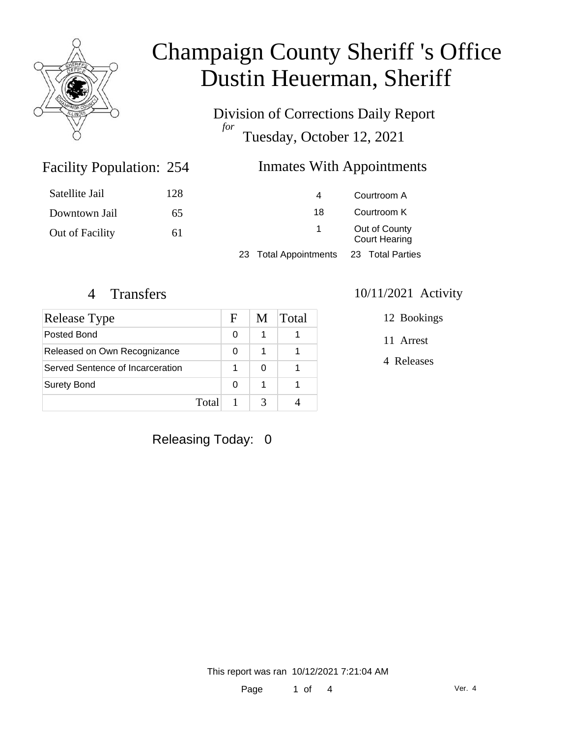

Division of Corrections Daily Report *for* Tuesday, October 12, 2021

### Inmates With Appointments

| Satellite Jail  | 128 | 4                     |                                       | Courtroom A      |
|-----------------|-----|-----------------------|---------------------------------------|------------------|
| Downtown Jail   | 65  | 18                    |                                       | Courtroom K      |
| Out of Facility | 61  | $\sim$                | Out of County<br><b>Court Hearing</b> |                  |
|                 |     | 23 Total Appointments |                                       | 23 Total Parties |
|                 |     |                       |                                       |                  |

Facility Population: 254

| Release Type                     |       | F | M | Total |
|----------------------------------|-------|---|---|-------|
| Posted Bond                      |       | 0 |   |       |
| Released on Own Recognizance     |       | 0 |   |       |
| Served Sentence of Incarceration |       |   | O |       |
| <b>Surety Bond</b>               |       | 0 |   |       |
|                                  | Total |   |   |       |

#### 4 Transfers 10/11/2021 Activity

12 Bookings

11 Arrest

4 Releases

Releasing Today: 0

This report was ran 10/12/2021 7:21:04 AM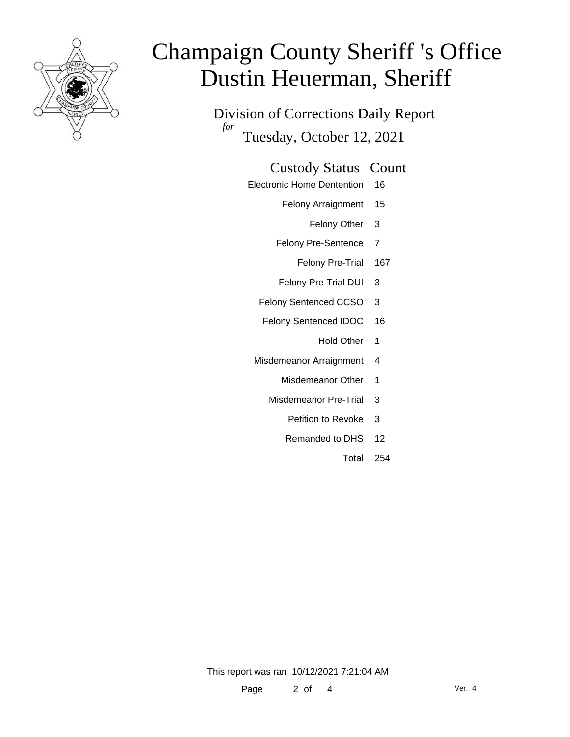

Division of Corrections Daily Report *for* Tuesday, October 12, 2021

#### Custody Status Count

- Electronic Home Dentention 16
	- Felony Arraignment 15
		- Felony Other 3
	- Felony Pre-Sentence 7
		- Felony Pre-Trial 167
	- Felony Pre-Trial DUI 3
	- Felony Sentenced CCSO 3
	- Felony Sentenced IDOC 16
		- Hold Other 1
	- Misdemeanor Arraignment 4
		- Misdemeanor Other 1
		- Misdemeanor Pre-Trial 3
			- Petition to Revoke 3
			- Remanded to DHS 12
				- Total 254

This report was ran 10/12/2021 7:21:04 AM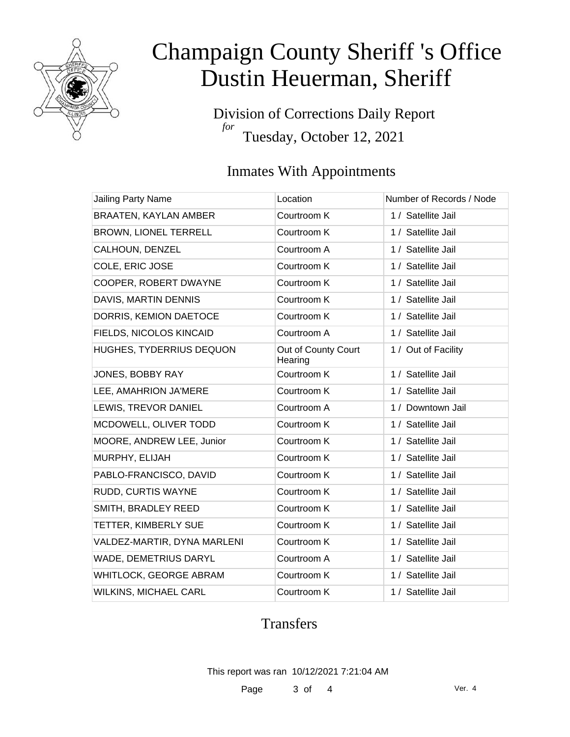

Division of Corrections Daily Report *for* Tuesday, October 12, 2021

### Inmates With Appointments

| Jailing Party Name           | Location                       | Number of Records / Node |
|------------------------------|--------------------------------|--------------------------|
| BRAATEN, KAYLAN AMBER        | Courtroom K                    | 1 / Satellite Jail       |
| BROWN, LIONEL TERRELL        | Courtroom K                    | 1 / Satellite Jail       |
| CALHOUN, DENZEL              | Courtroom A                    | 1 / Satellite Jail       |
| COLE, ERIC JOSE              | Courtroom K                    | 1 / Satellite Jail       |
| COOPER, ROBERT DWAYNE        | Courtroom K                    | 1 / Satellite Jail       |
| DAVIS, MARTIN DENNIS         | Courtroom K                    | 1 / Satellite Jail       |
| DORRIS, KEMION DAETOCE       | Courtroom K                    | 1 / Satellite Jail       |
| FIELDS, NICOLOS KINCAID      | Courtroom A                    | 1 / Satellite Jail       |
| HUGHES, TYDERRIUS DEQUON     | Out of County Court<br>Hearing | 1 / Out of Facility      |
| JONES, BOBBY RAY             | Courtroom K                    | 1 / Satellite Jail       |
| LEE, AMAHRION JA'MERE        | Courtroom K                    | 1 / Satellite Jail       |
| LEWIS, TREVOR DANIEL         | Courtroom A                    | 1 / Downtown Jail        |
| MCDOWELL, OLIVER TODD        | Courtroom K                    | 1 / Satellite Jail       |
| MOORE, ANDREW LEE, Junior    | Courtroom K                    | 1 / Satellite Jail       |
| MURPHY, ELIJAH               | Courtroom K                    | 1 / Satellite Jail       |
| PABLO-FRANCISCO, DAVID       | Courtroom K                    | 1 / Satellite Jail       |
| RUDD, CURTIS WAYNE           | Courtroom K                    | 1 / Satellite Jail       |
| SMITH, BRADLEY REED          | Courtroom K                    | 1 / Satellite Jail       |
| TETTER, KIMBERLY SUE         | Courtroom K                    | 1 / Satellite Jail       |
| VALDEZ-MARTIR, DYNA MARLENI  | Courtroom K                    | 1 / Satellite Jail       |
| WADE, DEMETRIUS DARYL        | Courtroom A                    | 1 / Satellite Jail       |
| WHITLOCK, GEORGE ABRAM       | Courtroom K                    | 1 / Satellite Jail       |
| <b>WILKINS, MICHAEL CARL</b> | Courtroom K                    | 1 / Satellite Jail       |

### Transfers